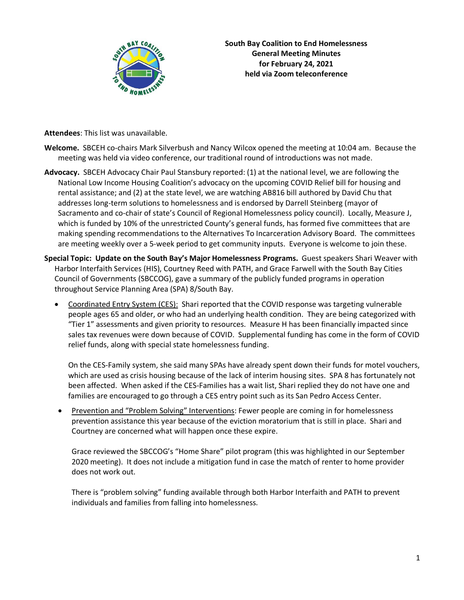

**South Bay Coalition to End Homelessness General Meeting Minutes for February 24, 2021 held via Zoom teleconference**

**Attendees**: This list was unavailable.

- **Welcome.** SBCEH co-chairs Mark Silverbush and Nancy Wilcox opened the meeting at 10:04 am. Because the meeting was held via video conference, our traditional round of introductions was not made.
- **Advocacy.** SBCEH Advocacy Chair Paul Stansbury reported: (1) at the national level, we are following the National Low Income Housing Coalition's advocacy on the upcoming COVID Relief bill for housing and rental assistance; and (2) at the state level, we are watching AB816 bill authored by David Chu that addresses long-term solutions to homelessness and is endorsed by Darrell Steinberg (mayor of Sacramento and co-chair of state's Council of Regional Homelessness policy council). Locally, Measure J, which is funded by 10% of the unrestricted County's general funds, has formed five committees that are making spending recommendations to the Alternatives To Incarceration Advisory Board. The committees are meeting weekly over a 5-week period to get community inputs. Everyone is welcome to join these.
- **Special Topic: Update on the South Bay's Major Homelessness Programs.** Guest speakers Shari Weaver with Harbor Interfaith Services (HIS), Courtney Reed with PATH, and Grace Farwell with the South Bay Cities Council of Governments (SBCCOG), gave a summary of the publicly funded programs in operation throughout Service Planning Area (SPA) 8/South Bay.
	- Coordinated Entry System (CES): Shari reported that the COVID response was targeting vulnerable people ages 65 and older, or who had an underlying health condition. They are being categorized with "Tier 1" assessments and given priority to resources. Measure H has been financially impacted since sales tax revenues were down because of COVID. Supplemental funding has come in the form of COVID relief funds, along with special state homelessness funding.

On the CES-Family system, she said many SPAs have already spent down their funds for motel vouchers, which are used as crisis housing because of the lack of interim housing sites. SPA 8 has fortunately not been affected. When asked if the CES-Families has a wait list, Shari replied they do not have one and families are encouraged to go through a CES entry point such as its San Pedro Access Center.

• Prevention and "Problem Solving" Interventions: Fewer people are coming in for homelessness prevention assistance this year because of the eviction moratorium that is still in place. Shari and Courtney are concerned what will happen once these expire.

Grace reviewed the SBCCOG's "Home Share" pilot program (this was highlighted in our September 2020 meeting). It does not include a mitigation fund in case the match of renter to home provider does not work out.

There is "problem solving" funding available through both Harbor Interfaith and PATH to prevent individuals and families from falling into homelessness.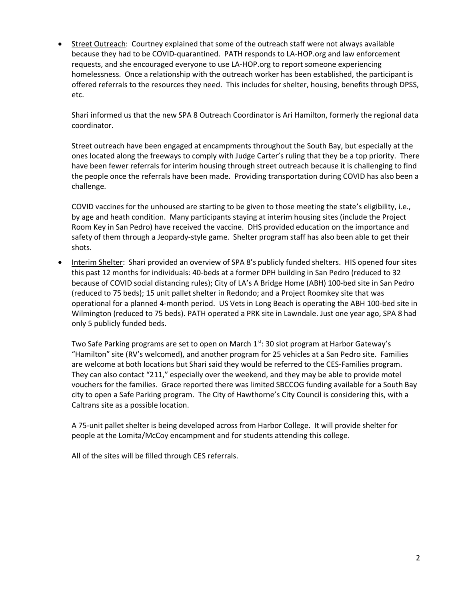• Street Outreach: Courtney explained that some of the outreach staff were not always available because they had to be COVID-quarantined. PATH responds to LA-HOP.org and law enforcement requests, and she encouraged everyone to use LA-HOP.org to report someone experiencing homelessness. Once a relationship with the outreach worker has been established, the participant is offered referrals to the resources they need. This includes for shelter, housing, benefits through DPSS, etc.

Shari informed us that the new SPA 8 Outreach Coordinator is Ari Hamilton, formerly the regional data coordinator.

Street outreach have been engaged at encampments throughout the South Bay, but especially at the ones located along the freeways to comply with Judge Carter's ruling that they be a top priority. There have been fewer referrals for interim housing through street outreach because it is challenging to find the people once the referrals have been made. Providing transportation during COVID has also been a challenge.

COVID vaccines for the unhoused are starting to be given to those meeting the state's eligibility, i.e., by age and heath condition. Many participants staying at interim housing sites (include the Project Room Key in San Pedro) have received the vaccine. DHS provided education on the importance and safety of them through a Jeopardy-style game. Shelter program staff has also been able to get their shots.

• Interim Shelter: Shari provided an overview of SPA 8's publicly funded shelters. HIS opened four sites this past 12 months for individuals: 40-beds at a former DPH building in San Pedro (reduced to 32 because of COVID social distancing rules); City of LA's A Bridge Home (ABH) 100-bed site in San Pedro (reduced to 75 beds); 15 unit pallet shelter in Redondo; and a Project Roomkey site that was operational for a planned 4-month period. US Vets in Long Beach is operating the ABH 100-bed site in Wilmington (reduced to 75 beds). PATH operated a PRK site in Lawndale. Just one year ago, SPA 8 had only 5 publicly funded beds.

Two Safe Parking programs are set to open on March  $1<sup>st</sup>$ : 30 slot program at Harbor Gateway's "Hamilton" site (RV's welcomed), and another program for 25 vehicles at a San Pedro site. Families are welcome at both locations but Shari said they would be referred to the CES-Families program. They can also contact "211," especially over the weekend, and they may be able to provide motel vouchers for the families. Grace reported there was limited SBCCOG funding available for a South Bay city to open a Safe Parking program. The City of Hawthorne's City Council is considering this, with a Caltrans site as a possible location.

A 75-unit pallet shelter is being developed across from Harbor College. It will provide shelter for people at the Lomita/McCoy encampment and for students attending this college.

All of the sites will be filled through CES referrals.